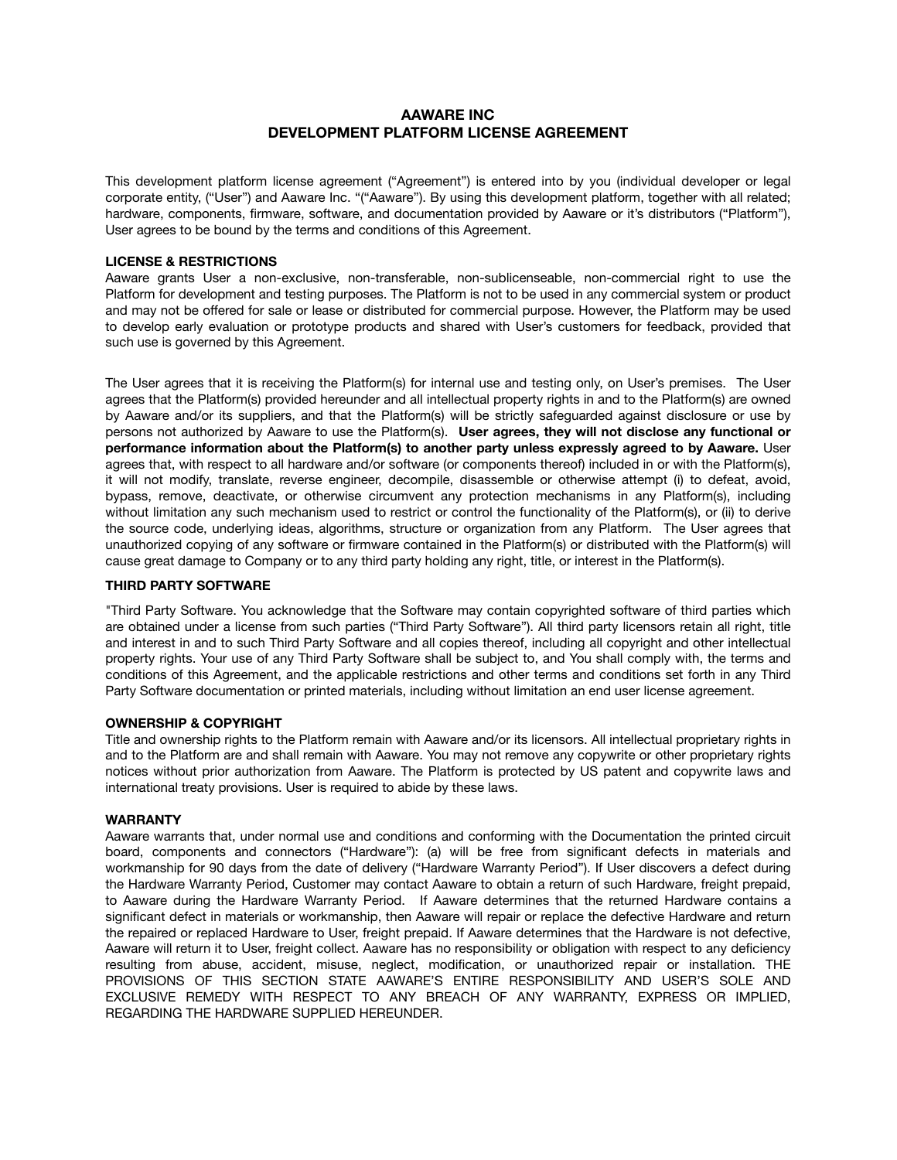# **AAWARE INC DEVELOPMENT PLATFORM LICENSE AGREEMENT**

This development platform license agreement ("Agreement") is entered into by you (individual developer or legal corporate entity, ("User") and Aaware Inc. "("Aaware"). By using this development platform, together with all related; hardware, components, firmware, software, and documentation provided by Aaware or it's distributors ("Platform"), User agrees to be bound by the terms and conditions of this Agreement.

## **LICENSE & RESTRICTIONS**

Aaware grants User a non-exclusive, non-transferable, non-sublicenseable, non-commercial right to use the Platform for development and testing purposes. The Platform is not to be used in any commercial system or product and may not be offered for sale or lease or distributed for commercial purpose. However, the Platform may be used to develop early evaluation or prototype products and shared with User's customers for feedback, provided that such use is governed by this Agreement.

The User agrees that it is receiving the Platform(s) for internal use and testing only, on User's premises. The User agrees that the Platform(s) provided hereunder and all intellectual property rights in and to the Platform(s) are owned by Aaware and/or its suppliers, and that the Platform(s) will be strictly safeguarded against disclosure or use by persons not authorized by Aaware to use the Platform(s). **User agrees, they will not disclose any functional or performance information about the Platform(s) to another party unless expressly agreed to by Aaware.** User agrees that, with respect to all hardware and/or software (or components thereof) included in or with the Platform(s), it will not modify, translate, reverse engineer, decompile, disassemble or otherwise attempt (i) to defeat, avoid, bypass, remove, deactivate, or otherwise circumvent any protection mechanisms in any Platform(s), including without limitation any such mechanism used to restrict or control the functionality of the Platform(s), or (ii) to derive the source code, underlying ideas, algorithms, structure or organization from any Platform. The User agrees that unauthorized copying of any software or firmware contained in the Platform(s) or distributed with the Platform(s) will cause great damage to Company or to any third party holding any right, title, or interest in the Platform(s).

### **THIRD PARTY SOFTWARE**

"Third Party Software. You acknowledge that the Software may contain copyrighted software of third parties which are obtained under a license from such parties ("Third Party Software"). All third party licensors retain all right, title and interest in and to such Third Party Software and all copies thereof, including all copyright and other intellectual property rights. Your use of any Third Party Software shall be subject to, and You shall comply with, the terms and conditions of this Agreement, and the applicable restrictions and other terms and conditions set forth in any Third Party Software documentation or printed materials, including without limitation an end user license agreement.

### **OWNERSHIP & COPYRIGHT**

Title and ownership rights to the Platform remain with Aaware and/or its licensors. All intellectual proprietary rights in and to the Platform are and shall remain with Aaware. You may not remove any copywrite or other proprietary rights notices without prior authorization from Aaware. The Platform is protected by US patent and copywrite laws and international treaty provisions. User is required to abide by these laws.

### **WARRANTY**

Aaware warrants that, under normal use and conditions and conforming with the Documentation the printed circuit board, components and connectors ("Hardware"): (a) will be free from significant defects in materials and workmanship for 90 days from the date of delivery ("Hardware Warranty Period"). If User discovers a defect during the Hardware Warranty Period, Customer may contact Aaware to obtain a return of such Hardware, freight prepaid, to Aaware during the Hardware Warranty Period. If Aaware determines that the returned Hardware contains a significant defect in materials or workmanship, then Aaware will repair or replace the defective Hardware and return the repaired or replaced Hardware to User, freight prepaid. If Aaware determines that the Hardware is not defective, Aaware will return it to User, freight collect. Aaware has no responsibility or obligation with respect to any deficiency resulting from abuse, accident, misuse, neglect, modification, or unauthorized repair or installation. THE PROVISIONS OF THIS SECTION STATE AAWARE'S ENTIRE RESPONSIBILITY AND USER'S SOLE AND EXCLUSIVE REMEDY WITH RESPECT TO ANY BREACH OF ANY WARRANTY, EXPRESS OR IMPLIED, REGARDING THE HARDWARE SUPPLIED HEREUNDER.